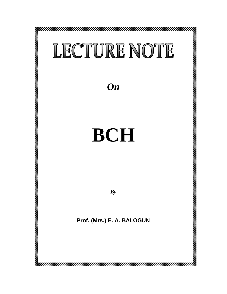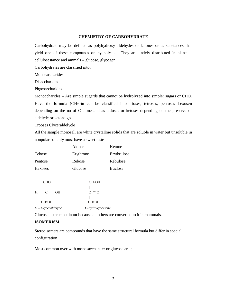# **CHEMISTRY OF CARBOHYDRATE**

Carbohydrate may be defined as polyhydroxy aldehydes or katones or as substances that yield one of these compounds on hycholysis. They are undely distributed in plants – cellulosestance and ammals – glucose, glycogen.

Carbohydrates are classified into;

Monosarcharides

Disaccharides

Phgosarcharides

Monoccharides – Are simple sugards that cannot be hydrolyzed into simpler sugars or CHO. Have the formula  $(CH<sub>2</sub>0)n$  can be classified into trioses, tetroses, pentoses Lexosen depending on the no of C alone and as aldoses or ketoses depending on the preserve of aldelyde or ketone gp

Trooses Clyceraldelycle

All the sample monosall are white crystallme solids that are soluble in water but unsoluble in nonpolar solienly most have a sweet taste

|                                | Aldose                  | Ketone      |
|--------------------------------|-------------------------|-------------|
| Tehose                         | Erythrone               | Erythrulose |
| Pentose                        | Rebose                  | Rebulose    |
| Hexoses                        | Glucose                 | fruclose    |
|                                |                         |             |
| <b>CHO</b>                     | <b>CH<sub>2</sub>OH</b> |             |
|                                |                         |             |
| $H - C - OH$                   | $C \equiv 0$            |             |
|                                |                         |             |
| <b>CH<sub>2</sub>OH</b>        | <b>CH<sub>2</sub>OH</b> |             |
| $D-Glyceraldel$ <sub>yde</sub> | D-hydroxyacetone        |             |

Glucose is the most input because all others are converted to it in mammals.

### **ISOMERISM**

Stereoisomers are compounds that have the same structural formula but differ in special configuration

Most common over with monosacchander or glucose are ;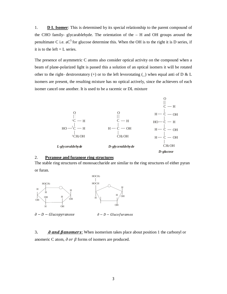1. **D L Isomer**: This is determined by its special relationship to the parent compound of the CHO family- glycarablehyde. The orientation of the – H and OH groups around the penultimate C i.e.  $aC^5$  for glucose determine this. When the OH is to the right it is D series, if it is to the left  $= L$  series.

The presence of asymmetric C atoms also consider optical activity on the compound when a beam of plane-polarized light is passed this a solution of an optical isomers it will be rotated other to the right- dextrorotatory (+) or to the left levorotating ( $\angle$ ) when equal anti of D & L isomers are present, the resulting mixture has no optical actively, since the achievers of each isomer cancel one another. It is used to be a racemic or DL mixture



## 2. **Pyranose and furanose ring structures**

The stable ring structures of monosaccharide are similar to the ring structures of either pyran or furan.



∂ - D - Glucopyranose ∂ - D - Glucofuramox

3. *O* and *Banomers*: When isomerism takes place about position 1 the carbonyl or anomeric C atom,  $\partial$  or  $\beta$  forms of isomers are produced.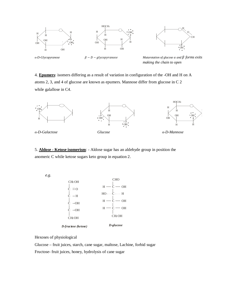







 $α$ -*D*-*Glycopyranose*<br>β − *D* − *glycopyranose* 

*Mutarotation of glucose*  $\alpha$  *and*  $\beta$  *forms exits making the chain to open*

4. **Epumers**: isomers differing as a result of variation in configuration of the -OH and H on A atoms 2, 3, and 4 of glucose are known as epumers. Mannose differ from glucose in C 2 while galallose in C4.



5. **Aldose - Ketose isomerism**: - Aldose sugar has an aldehyde group in position the anomeric C while ketose sugars keto group in equation 2.

 *e.g.* 



Hexoses of physiological

Glucose – fruit juices, starch, cane sugar, maltose, Lachine, forbid sugar Fructose- fruit juices, honey, hydrolysis of cane sugar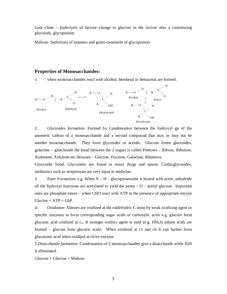Gala chine – hydrolysis of lactose change to glucose in the lactose also a constituting glycolyds, glycopotium

Maltose- hydrolysis of manners and gums-consistent of glycoprotein

## **Properties of Monosacchandes:**

1. when monosacchandes react with alcohol, hemketal or hemacetal are formed.



2. *Glycosides formation*: Formed by Condensation between the hydroxyl gp of the anomeric carbon of a monosacchande and a second compound that may or may not be another monosacchande. They form glycosides or acetals. Glucose forms glucosides, galactine – galacloside the bond between the 2 sugars is called Pentoses – Ribose, Ribulose, Arabinose, Xylulone etc Hexoses – Glucose, Fructose, Galactine, Manmore.

Glycosidic bond, Glycosides are found in many drugs and spices. Caidacglycosides, antibiotics such as streptonyan are very input in medicine.

3. *Ester Formation*: e.g. When  $X - D -$  glucopyranoside is heated with acetic anhydride all the hydroxyl functions are acetylated to yield the penta  $-$  O – acetyl glucose. Important ones are phosphate esters – when CHO react with ATP in the presence of appropriate enzyne  $Glucine + ATP = GbP.$ 

4. *Oxidation*: Aldoses are oxidized at the ealdehydric C atom by weak oxidizing agent or specific enzymes to form corresponding sugar acids or carboxylic acies e.g. glucore form gluconic acid oxidized at  $c_1$ . If stronger oxidizy agent is used (e.g.  $HN_03$ ) aldane acids are formed – glucose form glucaric acide. When oxidized at c1 and c6 It can further form glucuronic acid when oxidijed at c6 by enzyme.

5.*Disacchande formation*: Condensation of 2 monosacchandes give a disacchande while H20 is eliminated .

 $Glucose + Glucose = Maltose$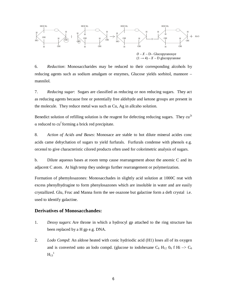

6. *Reduction*: Monosaccharides may be reduced to their corresponding alcohols by reducing agents such as sodium amalgam or enzymes, Glucose yields sorbitol, mannore – mannilol.

7. *Reducing sugar*: Sugars are classified as reducing or non reducing sugars. They act as reducing agents because free or potentially free aldehyde and ketone groups are present in the molecule. They reduce metal was such as Cu, Ag in allcaho solution.

Benedict solution of refilling solution is the reagent for defecting reducing sugars. They  $cu^{2t}$  $\alpha$  reduced to cu<sup>f</sup> forming a brick red precipitate.

8. *Action of Acids and Bases*: Monosace are stable to hot dilute mineral acides conc acids came dehychation of sugars to yield furfurals. Furfurals condense with phenols e.g. orcenol to give characteristic cilored products often used for colorimetric analysis of sugars.

b. Dilute aqueous bases at room temp cause rearrangement about the anomic C and its adjacent C atom. At high temp they undergo further rearrangement or polymerization.

Formation of phemylosazones: Monosacchades in slightly acid solution at 1000C reat with excess phenylhydragine to form phenylosazones which are insoluble in water and are easily crystallized. Glu, Fruc and Manna form the see osazone but galactine form a deft crystal i.e. used to identify galactine.

## **Derivatives of Monosacchandes:**

- 1. *Deoxy sugars*: Are throne in which a hydrocyl gp attached to the ring structure has been replaced by a H gp e.g. DNA.
- 2. *Lodo Compd*: An aldose heated with conic hydriodic acid (H1) loses all of its oxygen and is converted unto an lodo compd. (glucose to iodohexane  $C_6$  H<sub>12</sub>  $0_6$  f Hi  $\rightarrow$   $C_6$  $H_{13}^{\ 1}$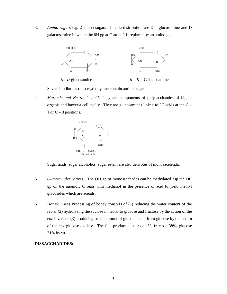3. *Amino sugars* e.g. 2 amino sugars of made distribution are D – glucosamine and D galactosamine in which the 0H gp at C atom 2 is replaced by an amino gp



Several antiholics (e.g) crythonycine contain amino sugar

4. *Muramic and Neuramic acid*: They are components of polysacchaudes of higher organis and bacteria cell avally. They are glucosamines linked to  $3C$  acids at the  $C -$ 1 or  $C - 3$  positions.



Sugar acids, sugar alcoholics, sugar estem are also denvotes of monosacelenda.

- 5. *O–methyl derivatives:* The OH gp of monosacchades can be methylated esp the OH gp on the anomoic C reats with methanol in the presence of acid to yield methyl glycosides which are acetals.
- *6. Honey*: Bees Processing of honey consorts of (1) reducing the water content of the rectar (2) hydrolysing the suciose in nectar to glucose and fructose by the action of the enz invertase (3) producing small amount of gluconic acid from glucose by the action of the enz glucose oxidase. The fuel product is sucrose 1%, fructose 38%, glucose 31% by wt.

### **DISSACCHARIDES:**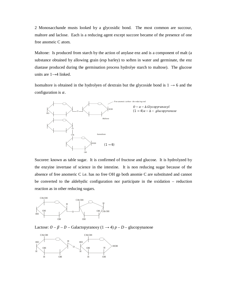2 Monosacchande musts looked by a glycosidic bond. The most common are succour, maltore and laclose. Each is a reducing agent except succore became of the presence of one free anomeic C atom.

Maltone: Is produced from starch by the action of anylase enz and is a component of malt (a substance obtained by allowing grain (esp barley) to soften in water and germinate, the enz diastase produced during the germination process hydrolye starch to maltose). The glucose units are  $1 \rightarrow 4$  linked.

Isomaltore is obtained in the hydrolyen of dextrain but the glycoside bond is  $1 \rightarrow 6$  and the configuration is  $\alpha$ .



Sucoree: known as table sugar. It is confirmed of fructose and glucose. It is hydrolyzed by the enzyine invertase of science in the intestine. It is non reducing sugar because of the absence of free anomeric C i.e. has no free OH gp both anomie C are substituted and cannot be converted to the aldehydic configuration nor participate in the oxidation – reduction reaction as in other reducing sugars.



Lactose:  $Q - \beta - D$  – Galactopyranosy (1  $\rightarrow$  4)  $p - D$  – glucopynanose

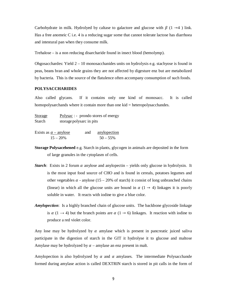Carbohydrate in milk. Hydrolyed by caltase to galactore and glucose with  $\beta$  (1  $\rightarrow$  4 ) link. Has a free anomeic  $C$  i.e. 4 is a reducing sugar some that cannot tolerate lactose has diarrhoea and intestural pan when they consume milk.

Trehalose – is a non reducing disarcharide found in insect blood (hemolymp).

Ohgosacchardes: Yield  $2 - 10$  monosacchanides units on hydrolysis e.g. stachyose is found in peas, beans bran and whole grains they are not affected by digesture enz but are metabolized by bacteria. This is the source of the flatulence often accompany consumption of such foods.

### **POLYSACCHARIDES**

Also called glycans. If it contains only one kind of monosacc. It is called homopolysarchands where it contain more than one kid = heteropolysacchandes.

| <b>Storage</b> | $Polysac$ : - prondo stores of energy |
|----------------|---------------------------------------|
| Starch         | storage polysarc in pits              |

| Exists as $\alpha$ – anylose | and anylopection |
|------------------------------|------------------|
| $15 - 20%$                   | $50 - 55\%$      |

- **Storage Polysacehened** e.g. Starch in plants, glycogen in animals are deposited in the form of large granules in the cytoplasm of cells.
- *Starch*: Exists in 2 forum  $\alpha$  anylose and anylopectin yields only glucose in hydrolysin. It is the most input food source of CHO and is found in cereals, potatoes legumes and other vegetables  $\alpha$  - anylose (15 – 20% of starch) it consist of long unbranched chains (linear) in which all the glucose units are bound in  $\alpha$  (1  $\rightarrow$  4) linkages it is poorly soluble in water. It reacts with iodine to give a blue color.
- *Amylopection*: Is a highly branched chain of glucose units. The backbone glycoside linkage is  $\alpha$  (1  $\rightarrow$  4) but the branch points are  $\alpha$  (1  $\rightarrow$  6) linkages. It reaction with iodine to produce a red violet color.

Any lose may be hydrolyzed by  $\alpha$  amylase which is present in pancreatic juiced saliva participate in the digestion of starch in the GIT it hydrolyse it to glucose and maltose Amylase may be hydrolyzed by  $\alpha$  – amylase an enz present in malt.

Amylopection is also hydrolyzed by  $\alpha$  and  $\alpha$  amylases. The intermediate Polysacchande formed during amylase action is called DEXTRIN starch is stored in pit calls in the form of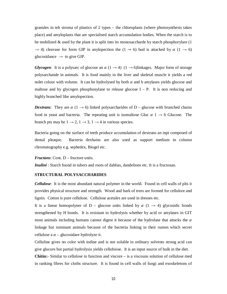granules in teh stroma of plastics of 2 types – the chloroplasts (where photosynthesis takes place) and amyloplasts that are specialised starch accumulation bodies. When the starch is to be mobilized  $\&$  used by the plant it is split into its monosaccharde by starch phosphorylare (1)  $\rightarrow$  4) cleavase for form GIP in anylopection the (1  $\rightarrow$  6) bud is attacked by  $\alpha$  (1  $\rightarrow$  6) glucosidance  $\rightarrow$  to give GIP.

*Glycogen*: It is a polysarc of glucose an  $\alpha$  (1  $\rightarrow$  4) (1  $\rightarrow$  6)linkages. Major form of storage polysarchande in animals. It is food mainly in the liver and skeletal muscle it yields a red nolet colour with volume. It can be hydrolysed by both  $\alpha$  and b amylases yields glucose and maltose and by glycogen phosphonylane to release glucose  $I - P$ . It is non reducing and highly branched like amylopection.

*Dextrans*: They are  $\alpha$  (1  $\rightarrow$  6) linked polysarcharides of D – glucose with branched chains food in yeast and bacteria. The repeating unit is isomaltose Gluc  $\alpha$  1  $\rightarrow$  6 Glucose. The branch pts may be  $1 \rightarrow 2$ ,  $1 \rightarrow 3$ ,  $1 \rightarrow 4$  in various species.

Bacteria going on the surface of teeth produce accumulation of dextrans an inpt composed of dental pleaque. Bacteria dexhains are also used as support medium in column chromatography e.g. sephedex, Biogel etc.

*Fructans*: Cont. D – fructore units.

*Inulini*: Starch found in tubers and roots of dahlias, dandelions etc. It is a fructosan.

### **STRUCTURAL POLYSACCHARIDES**

*Cellulose*: It is the most abundant natural polymer in the world. Found in cell walls of plts it provides physical structure and strength. Wood and bark of trees are formed for cellulore and lignin. Cotton is pure cellulose. Cellulose acetales are used in dresses etc.

It is a linear homopolyner of D – glucose units linked by  $\alpha$  (1  $\rightarrow$  4) glycosidic bonds strengthened by H bonds. It is resistant to hydrolysis whether by acid or amylases in GIT most animals including humans cannot digest it because of the hydrolase that attacks the  $\alpha$ linkage but ruminant animals because of the bacteria linking in their rumen which secret cellulose a  $\alpha$  – glucosidare hydrolyze it.

Celluline gives no color with iodine and is not soluble in ordinary solvents strong acid can give glucore but partial hydrolysis yields cellobiose. It is an input source of bulk in the diet. **Chitin:**- Similar to cellulose in function and viscore – is a viscouns solution of cellulose med

in ranking fibres for cloths structure. It is found in cell walls of fungi and exoskeletons of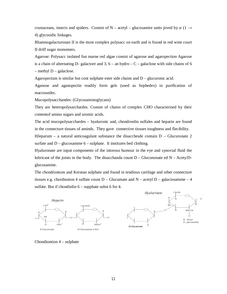crustaceans, insects and spiders. Consist of N – acetyl – glucosamire units joved by  $\alpha$  (1  $\rightarrow$ 4) glycosidic linkages.

Rhamnogalacturonan II is the most complex polysacc on earth and is found in red wine court II driff sugar monomers.

Agarose: Polysacc isolated fun marne red algae consist of agarose and agaropection Agarose is a chain of alternating D- galactore and  $3, 6 -$  an hydro  $- C -$  galaclose with side chains of 6  $-$  methyl  $D$  – galaclose.

Agaropectum is similar but cont sulphate ester side chains and  $D -$  glucuronic acid.

Aganose and aganopectin readily form gels (used as Sephedex) in purification of macrounilec.

Mucopolysacchandes: (Glycosaminoglycans)

They are heteropolysarchardes. Consist of chains of complex CHO characterised by their contentof amino sugars and uromic acids.

The acid mucopolysacchardes – hyaluronic and, chondronlin sulfales and heparin are found in the connecture tissues of aminds. They gave connective tissues toughness and flecibility.

HJeparum – a natural anticoagulant substance the disacchesde contain  $D - Glucuroate 2$ surfate and  $D -$  glucosamme  $6 -$  sulphate. It institutes bed clothing.

Hyaluronate are input components of the intreous humour in the eye and synovial fluid the lubricant of the joints in the body. The disacchanda count  $D - Glu$ cononate ed  $N - Acety/D$ glucosamine.

The chondrontuns and Keratan sulphate and found in tendious cartilage and other connecture tissues e.g. chordiunton 4 sulfate count  $D - Glucumate$  and  $N - acetyl D - galactosamme - 4$ sulfate. But if chondinlin  $6$  – supphate subst 6 for 4.



Chondiontion 4 – sulphate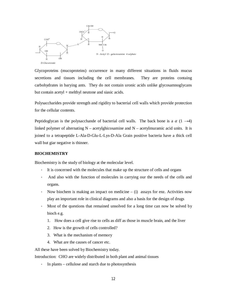

Glycoproteins (mucoproteins) occurrence in many different situations in fluids mucus secretions and tissues including the cell membranes. They are proteins containg carbohydrates in barying ants. They do not contain uronic acids unlike glycosamnoglycans but contain acetyl + melthyl neutone and siasic acids.

Polysaccharides provide strength and rigidity to bacterial cell walls which provide protection for the cellular contents.

Peptidoglycan is the polysacchande of bacterial cell walls. The back bone is a  $\alpha$  (1  $\rightarrow$  4) linked polymer of alternating  $N - \text{acetylghicosamine}$  and  $N - \text{acetylmuramic}$  acid units. It is joined to a tetrapeptide L-Ala-D-Glu-L-Lys-D-Ala Grain positive bacteria have a thick cell wall but giar negative is thinner.

## **BIOCHEMISTRY**

Biochemistry is the study of biology at the molecular level.

- It is concerned with the molecules that make up the structure of cells and organs
- And also with the function of molecules in carrying our the needs of the cells and organs.
- Now biochem is making an impact on medicine  $-$  (i) assays for enz. Activities now play an important role in clinical diagrams and also a basis for the design of drugs
- Most of the questions that remained unsolved for a long time can now be solved by bioch e.g.
	- 1. How does a cell give rise to cells as diff as those in muscle brain, and the liver
	- 2. How is the growth of cells controlled?
	- 3. What is the mechanism of memory
	- 4. What are the causes of cancer etc.

All these have been solved by Biochemistry today.

Introduction: CHO are widely distributed in both plant and animal tissues

- In plants – cellulose and starch due to photosynthesis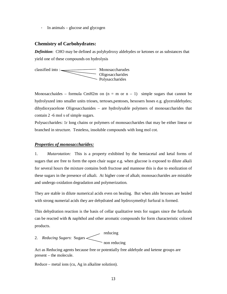- In animals – glucose and glycogen

## **Chemistry of Carbohydrates:**

*Definition*: CHO may be defined as polyhydroxy aldehydes or ketones or as substances that yield one of these compounds on hydrolysis



Monosacchaides – formula CmH2m on  $(n = m \text{ or } n - 1)$  simple sugars that cannot be hydrolyszed into smaller units trioses, tertoses,pentoses, hexosers hoses e.g. glyceraldehydes; dihydioxyacelone Oligosacchanides – are hydrolysable polymers of monosaccharides that contain 2 -6 mol s of simple sugars.

Polysaccharides: 1r long chains or polymers of monosaccharides that may be either linear or branched in structure. Testeless, insoluble compounds with long mol cot.

## *Properties of monosaccharides:*

1. *Mutarotation:* This is a property exhibited by the hemiacetal and ketal forms of sugars that are free to form the open chair sugar e.g. when glucose is exposed to dilute alkali for several hours the mixture contains both fructose and mannose this is due to enolization of these sugars in the presence of alkali. At higher cone of alkah; monosaccharides are mistable and undergo oxidation degradation and polymerization.

They are stable in dilute numerical acids even on healing. But when aldo hexoses are healed with strong numerial acids they are dehydrated and hydroxymethyl furfural is formed.

This dehydration reaction is the basis of cellar qualitative tests for sugars since the furfurals can be reacted with & naphthol and other aromatic compounds for form characteristic colored products.

# 2. *Reducing Sugars*: Sugars

mon reducing

Act as Reducing agents because free or potentially free aldehyde and ketene groups are present – the molecule.

 $\angle$  reducing

Reduce – metal ions (cu, Ag in alkaline solution).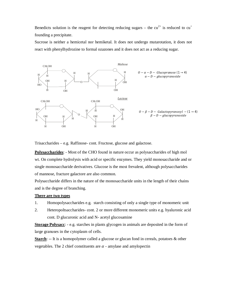Benedicts solution is the reagent for detecting reducing sugars – the cu<sup>2+</sup> is reduced to cu<sup>+</sup> founding a precipitate.

Sucrose is neither a hemicetal nor hemiketal. It does not undergo mutarotation, it does not react with phenylhydrozine to formal ozazones and it does not act as a reducing sugar.



Trisaccharides – e.g. Raffinose- cont. Fructose, glucose and galactose.

**Polysaccharides**: - Most of the CHO found in nature occur as polysaccharides of high mol wt. On complete hydrolysis with acid or specific enzymes. They yield monosaccharide and or single monosaccharide derivatives. Glucose is the most frevalent, although polysaccharides of mannose, fracture galactore are also common.

Polysaccharide differs in the nature of the monosaccharide units in the length of their chains and is the degree of branching.

### **There are two types**

- 1. Homopolysaccharides e.g. starch consisting of only a single type of monomeric unit
- 2. Heteropoltsaccharides- cont. 2 or more different monomeric units e.g. hyaluronic acid cont. D glucuronic acid and N- acetyl glucosamine

**Storage Polysacc**: - e.g. starches in plants glycogen in animals are deposited in the form of large granuses in the cytoplasm of cells.

**Starch**: -- It is a homopolymer called a glucose or glucan fond in cereals, potatoes & other vegetables. The 2 chief constituents are  $\alpha$  - amylase and amylopectin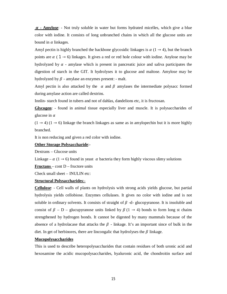ࢻ **- Amylose**: - Not truly soluble in water but forms hydrated micelles, which give a blue color with iodine. It consists of long unbranched chains in which all the glucose units are bound in  $\alpha$  linkages.

Amyl pectin is highly branched the backbone glycosidic linkages is  $\alpha$  (1  $\rightarrow$  4), but the branch points are  $\alpha$  (1  $\rightarrow$  6) linkages. It gives a red or red hole colour with iodine. Anylose may be hydrolyzed by  $\alpha$  - amylase which is present in pancreatic juice and saliva participates the digestion of starch in the GIT. It hydrolyses it to glucose and maltose. Amylose may be hydrolyzed by  $\beta$  - amylase an enzymes present: - malt.

Amyl pectin is also attacked by the  $\alpha$  and  $\beta$  amylases the intermediate polysacc formed during amylase action are called dextrins.

Innlin- starch found in tubers and not of dahlas, dandelions etc, it is fructosan.

**Glycogen**: - found in animal tissue especially liver and muscle. It is polysaccharides of glucose in  $\alpha$ 

 $(1 \rightarrow 4)$   $(1 \rightarrow 6)$  linkage the branch linkages as same as in amylopechin but it is more highly branched.

It is non reducing and given a red color with iodine.

### **Other Storage Polysaccharide**:-

Dextrans – Glucose units

Linkage –  $\alpha$  (1  $\rightarrow$  6) found in yeast  $\alpha$  bacteria they form highly viscous slimy solutions

**Fructans** – cont D – fructore units

Check small sheet – INULIN etc:

### **Structural Polysaccharides**:-

**Cellulose**: - Cell walls of plants on hydrolysis with strong acids yields glucose, but partial hydrolysis yields cellobiose. Enzymes cellulases. It gives no color with iodine and is not soluble in ordinary solvents. It consists of straight of  $\beta$  -d- glucopyranose. It is insoluble and consist of  $\beta - D$  – glucupyranose units linked by  $\beta$  (1  $\rightarrow$  4) bonds to form long st chains strengthened by hydrogen bonds. It cannot be digested by many mammals because of the absence of a hydrolacase that attacks the  $\beta$  - linkage. It's an important since of bulk in the diet. In get of herbinores, there are lincongalic that hydrolyses the  $\beta$  linkage.

### **Mucopolysaccharides**

This is used to describe heteropolysaccharides that contain residues of both uronic acid and hexosamine the acidic mucopolysaccharides, hyaluronic acid, the chondroitin surface and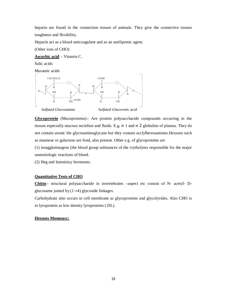heparin are found in the connection tissues of animals. They give the connective tissues toughness and flexibility.

Heparin act as a blood anticoagulant and as an antilipemic agent.

(Other ions of CHO)

**Ascorbic acid**: - Vitamin C.

Salic acids

Muramic acids



**Glycoprotein** (Mucuproteins):- Are protein polysaccharide compounds occurring in the tissues especially mucous secielion and fluids. E.g.  $\propto$  1 and  $\propto$  2 globulins of plasma. They do not contain uronic the glycosaminoglycans but they contain acclylhexosamines.Hexoses such as mannose or galactose are fond, also present. Other e.g. of glycoproteins are

(1) isoagglutinogens (the blood group substances of the crytholytes responsible for the major unmutiologic reactions of blood.

(2) Heg and luteninizy hormones.

## **Quantitative Tests of CHO**

**Chitin**:- structural polysaccharide in invertebrates –aspect etc consist of N- acetyl- Dglucosame joined by  $(1\rightarrow 4)$  glycoside linkages.

Carbohydrate also occurs in cell membrane as glycoproteins and glycolyrides. Also CHO is in lyroprotein as low density lyroproteins (:DL).

#### **Hexoses Monosacc:**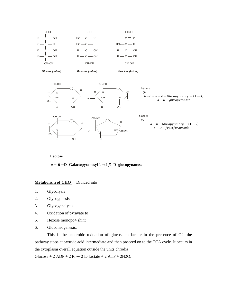

### **Lactose**

 − ࢼ −**D- Galactopyranosyl**  →**4** ࢼ **-D- glucopynanose**

### **Metabolism of CHO** Divided into

- 1. Glycolysis
- 2. Glycogenesis
- 3. Glycogenolysis
- 4. Oxidation of pyravate to
- 5. Hexose monopo4 shint
- 6. Gluconeogenesis.

This is the anaerobic oxidation of glucose to lactate in the presence of O2, the pathway stops at pyruvic acid intermediate and then proceed on to the TCA cycle. It occurs in the cytoplasm overall equation outside the units chrodia

Glucose + 2 ADP + 2 Pi  $\rightarrow$  2 L- lactate + 2 ATP + 2H2O.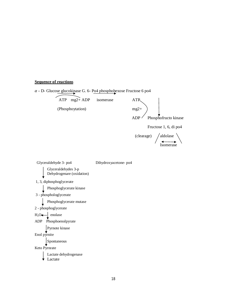## **Sequence of reactions**

ߙ **-** D- Glucose glucokinase G. 6- Po4 phosphohexose Fructose 6 po4

ATP mg2+ ADP isomerase ATP (Phosphoytation) mg2+  $ADP$  Phosphofructo kinase Fructose 1, 6, di po4

> $(clearage)$  /aldolase Isomerase

 Glyceraldehyde 3- po4 Dihydroxyacetone- po4 Glyceraldehydes 3-p Dehydrogenare (oxidation) 1, 3, diphosphoglycerate Phosphoglycerate kinase 3 - phosphologlycerate Phosphoglycerate mutase 2 - phosphoglycerate  $H_2O \leftarrow$  enolase ADP Phosphoenolpyrate Pyrnote kinase Enol pyrnite Spontaneous Keto Pyrnrate Lactate dehydrogenase Lactate